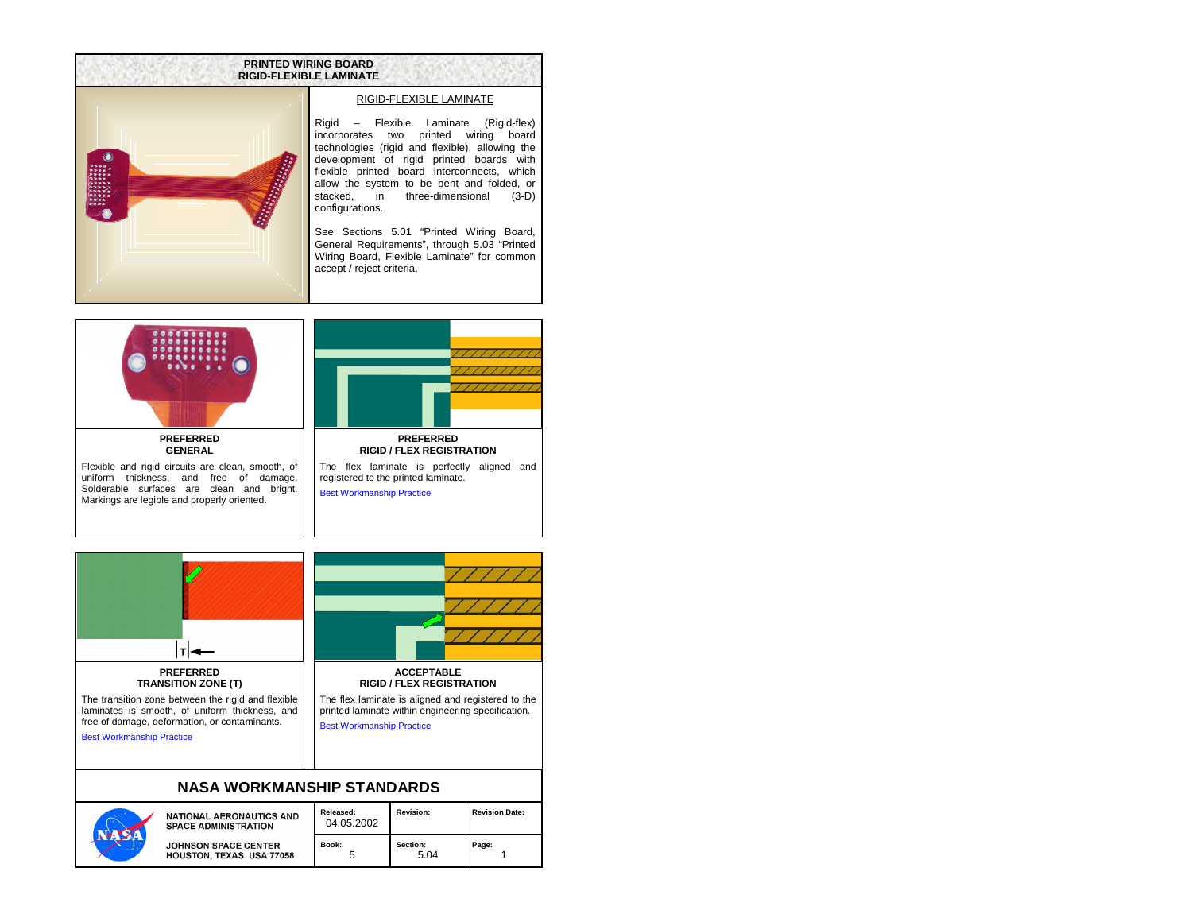